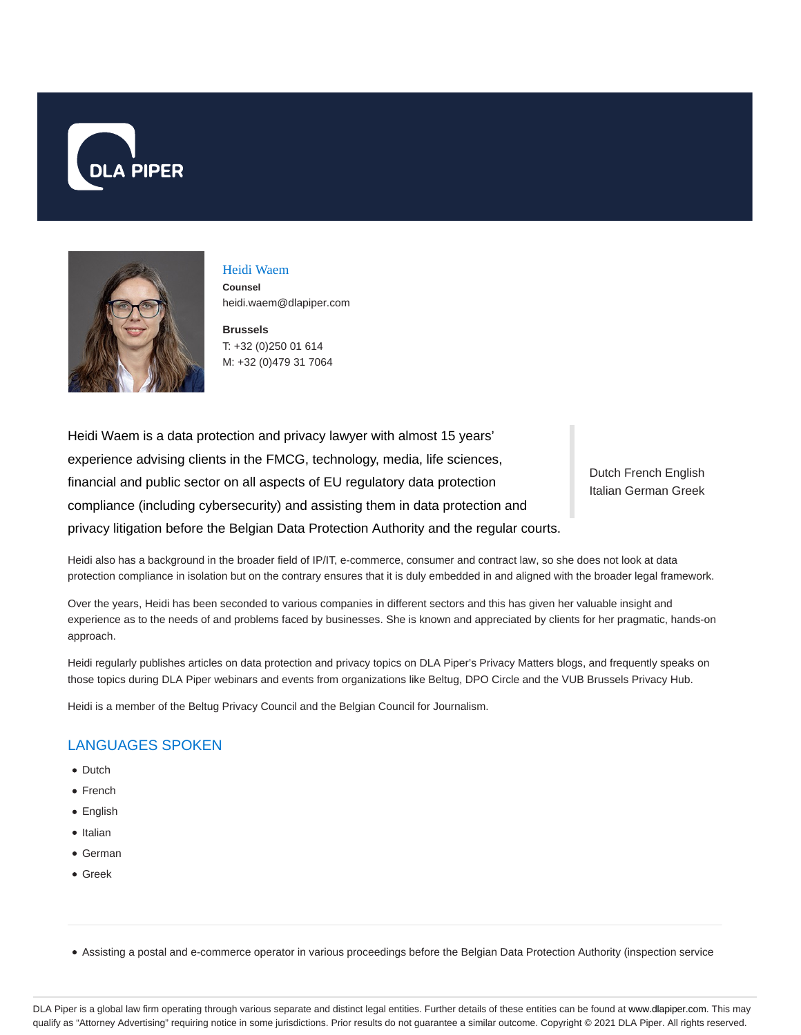



# Heidi Waem

**Counsel** heidi.waem@dlapiper.com

**Brussels** T: +32 (0)250 01 614 M: +32 (0)479 31 7064

Heidi Waem is a data protection and privacy lawyer with almost 15 years' experience advising clients in the FMCG, technology, media, life sciences, financial and public sector on all aspects of EU regulatory data protection compliance (including cybersecurity) and assisting them in data protection and privacy litigation before the Belgian Data Protection Authority and the regular courts.

Dutch French English Italian German Greek

Heidi also has a background in the broader field of IP/IT, e-commerce, consumer and contract law, so she does not look at data protection compliance in isolation but on the contrary ensures that it is duly embedded in and aligned with the broader legal framework.

Over the years, Heidi has been seconded to various companies in different sectors and this has given her valuable insight and experience as to the needs of and problems faced by businesses. She is known and appreciated by clients for her pragmatic, hands-on approach.

Heidi regularly publishes articles on data protection and privacy topics on DLA Piper's Privacy Matters blogs, and frequently speaks on those topics during DLA Piper webinars and events from organizations like Beltug, DPO Circle and the VUB Brussels Privacy Hub.

Heidi is a member of the Beltug Privacy Council and the Belgian Council for Journalism.

# LANGUAGES SPOKEN

- Dutch
- French
- English
- Italian
- German
- Greek

Assisting a postal and e-commerce operator in various proceedings before the Belgian Data Protection Authority (inspection service

DLA Piper is a global law firm operating through various separate and distinct legal entities. Further details of these entities can be found at www.dlapiper.com. This may qualify as "Attorney Advertising" requiring notice in some jurisdictions. Prior results do not guarantee a similar outcome. Copyright © 2021 DLA Piper. All rights reserved.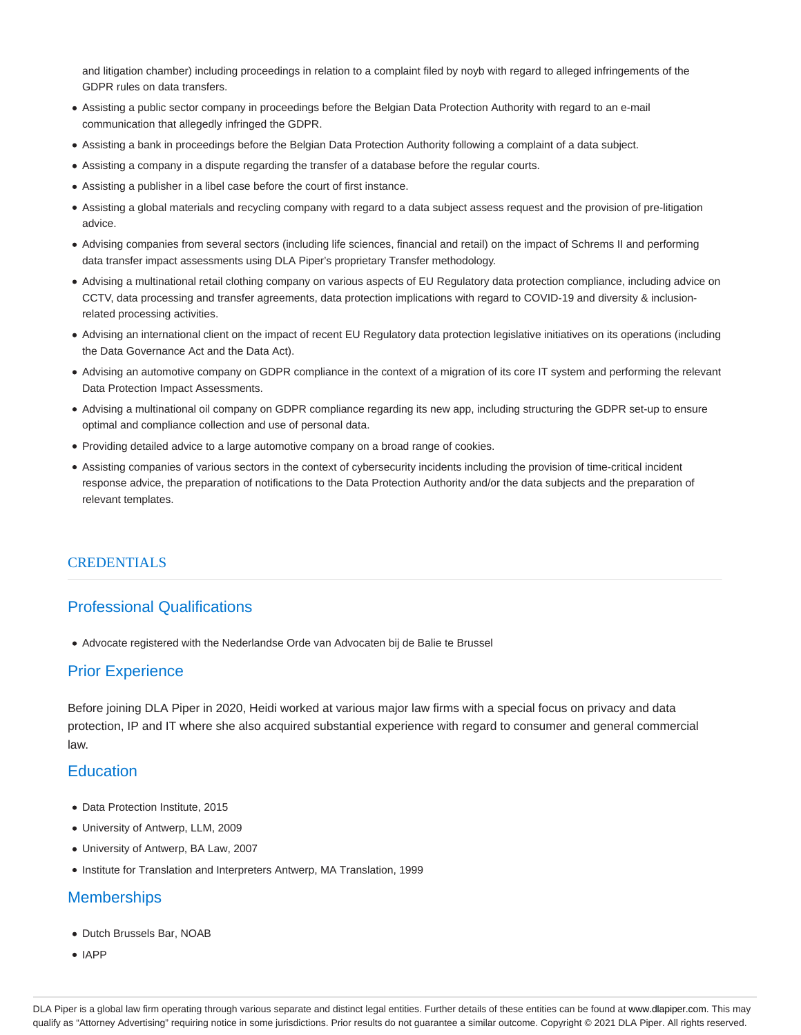and litigation chamber) including proceedings in relation to a complaint filed by noyb with regard to alleged infringements of the GDPR rules on data transfers.

- Assisting a public sector company in proceedings before the Belgian Data Protection Authority with regard to an e-mail communication that allegedly infringed the GDPR.
- Assisting a bank in proceedings before the Belgian Data Protection Authority following a complaint of a data subject.
- Assisting a company in a dispute regarding the transfer of a database before the regular courts.
- Assisting a publisher in a libel case before the court of first instance.
- Assisting a global materials and recycling company with regard to a data subject assess request and the provision of pre-litigation advice.
- Advising companies from several sectors (including life sciences, financial and retail) on the impact of Schrems II and performing data transfer impact assessments using DLA Piper's proprietary Transfer methodology.
- Advising a multinational retail clothing company on various aspects of EU Regulatory data protection compliance, including advice on CCTV, data processing and transfer agreements, data protection implications with regard to COVID-19 and diversity & inclusionrelated processing activities.
- Advising an international client on the impact of recent EU Regulatory data protection legislative initiatives on its operations (including the Data Governance Act and the Data Act).
- Advising an automotive company on GDPR compliance in the context of a migration of its core IT system and performing the relevant Data Protection Impact Assessments.
- Advising a multinational oil company on GDPR compliance regarding its new app, including structuring the GDPR set-up to ensure optimal and compliance collection and use of personal data.
- Providing detailed advice to a large automotive company on a broad range of cookies.
- Assisting companies of various sectors in the context of cybersecurity incidents including the provision of time-critical incident response advice, the preparation of notifications to the Data Protection Authority and/or the data subjects and the preparation of relevant templates.

#### **CREDENTIALS**

## Professional Qualifications

Advocate registered with the Nederlandse Orde van Advocaten bij de Balie te Brussel

#### Prior Experience

Before joining DLA Piper in 2020, Heidi worked at various major law firms with a special focus on privacy and data protection, IP and IT where she also acquired substantial experience with regard to consumer and general commercial law.

#### **Education**

- Data Protection Institute, 2015
- University of Antwerp, LLM, 2009
- University of Antwerp, BA Law, 2007
- Institute for Translation and Interpreters Antwerp, MA Translation, 1999

## **Memberships**

- Dutch Brussels Bar, NOAB
- IAPP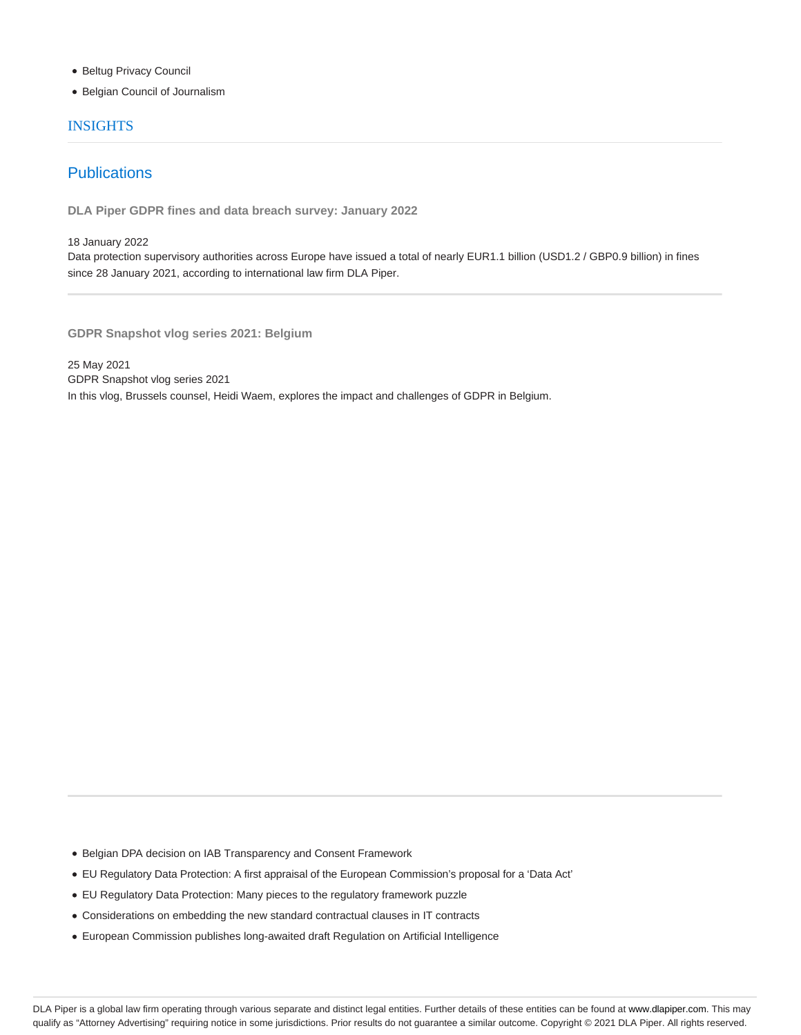- **Beltug Privacy Council**
- Belgian Council of Journalism

#### INSIGHTS

# **Publications**

**DLA Piper GDPR fines and data breach survey: January 2022**

18 January 2022

Data protection supervisory authorities across Europe have issued a total of nearly EUR1.1 billion (USD1.2 / GBP0.9 billion) in fines since 28 January 2021, according to international law firm DLA Piper.

**GDPR Snapshot vlog series 2021: Belgium**

25 May 2021 GDPR Snapshot vlog series 2021 In this vlog, Brussels counsel, Heidi Waem, explores the impact and challenges of GDPR in Belgium.

Belgian DPA decision on IAB Transparency and Consent Framework

- EU Regulatory Data Protection: A first appraisal of the European Commission's proposal for a 'Data Act'
- EU Regulatory Data Protection: Many pieces to the regulatory framework puzzle
- Considerations on embedding the new standard contractual clauses in IT contracts
- European Commission publishes long-awaited draft Regulation on Artificial Intelligence

DLA Piper is a global law firm operating through various separate and distinct legal entities. Further details of these entities can be found at www.dlapiper.com. This may qualify as "Attorney Advertising" requiring notice in some jurisdictions. Prior results do not guarantee a similar outcome. Copyright © 2021 DLA Piper. All rights reserved.